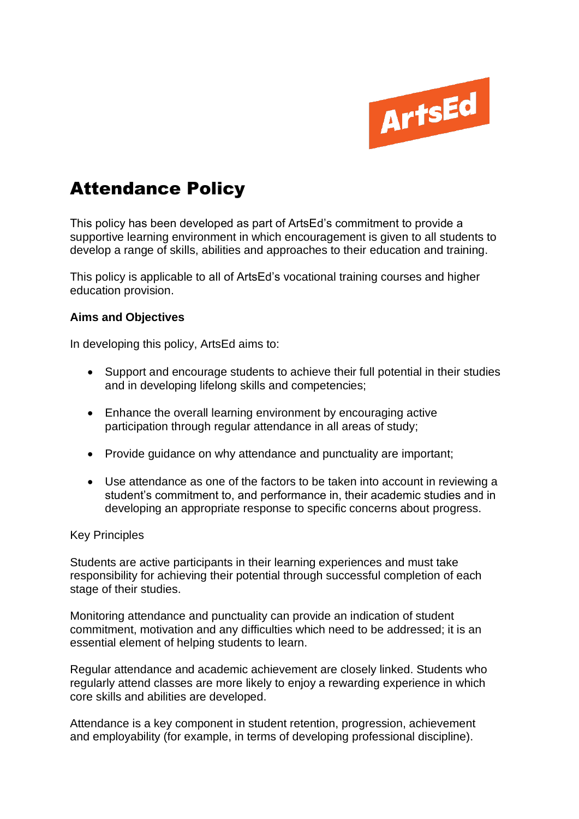

## Attendance Policy

This policy has been developed as part of ArtsEd's commitment to provide a supportive learning environment in which encouragement is given to all students to develop a range of skills, abilities and approaches to their education and training.

This policy is applicable to all of ArtsEd's vocational training courses and higher education provision.

## **Aims and Objectives**

In developing this policy, ArtsEd aims to:

- Support and encourage students to achieve their full potential in their studies and in developing lifelong skills and competencies;
- Enhance the overall learning environment by encouraging active participation through regular attendance in all areas of study;
- Provide guidance on why attendance and punctuality are important;
- Use attendance as one of the factors to be taken into account in reviewing a student's commitment to, and performance in, their academic studies and in developing an appropriate response to specific concerns about progress.

## Key Principles

Students are active participants in their learning experiences and must take responsibility for achieving their potential through successful completion of each stage of their studies.

Monitoring attendance and punctuality can provide an indication of student commitment, motivation and any difficulties which need to be addressed; it is an essential element of helping students to learn.

Regular attendance and academic achievement are closely linked. Students who regularly attend classes are more likely to enjoy a rewarding experience in which core skills and abilities are developed.

Attendance is a key component in student retention, progression, achievement and employability (for example, in terms of developing professional discipline).